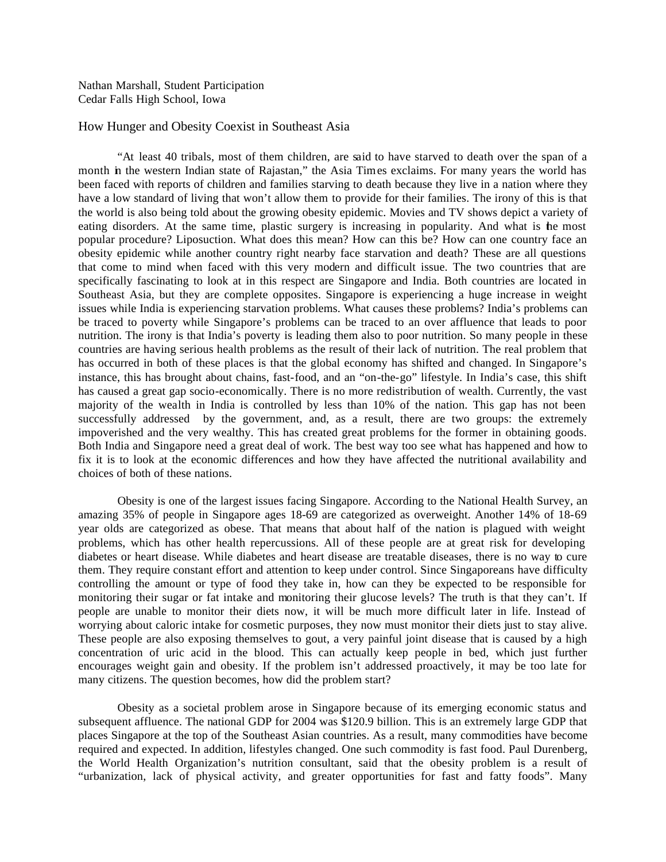Nathan Marshall, Student Participation Cedar Falls High School, Iowa

## How Hunger and Obesity Coexist in Southeast Asia

"At least 40 tribals, most of them children, are said to have starved to death over the span of a month in the western Indian state of Rajastan," the Asia Times exclaims. For many years the world has been faced with reports of children and families starving to death because they live in a nation where they have a low standard of living that won't allow them to provide for their families. The irony of this is that the world is also being told about the growing obesity epidemic. Movies and TV shows depict a variety of eating disorders. At the same time, plastic surgery is increasing in popularity. And what is the most popular procedure? Liposuction. What does this mean? How can this be? How can one country face an obesity epidemic while another country right nearby face starvation and death? These are all questions that come to mind when faced with this very modern and difficult issue. The two countries that are specifically fascinating to look at in this respect are Singapore and India. Both countries are located in Southeast Asia, but they are complete opposites. Singapore is experiencing a huge increase in weight issues while India is experiencing starvation problems. What causes these problems? India's problems can be traced to poverty while Singapore's problems can be traced to an over affluence that leads to poor nutrition. The irony is that India's poverty is leading them also to poor nutrition. So many people in these countries are having serious health problems as the result of their lack of nutrition. The real problem that has occurred in both of these places is that the global economy has shifted and changed. In Singapore's instance, this has brought about chains, fast-food, and an "on-the-go" lifestyle. In India's case, this shift has caused a great gap socio-economically. There is no more redistribution of wealth. Currently, the vast majority of the wealth in India is controlled by less than 10% of the nation. This gap has not been successfully addressed by the government, and, as a result, there are two groups: the extremely impoverished and the very wealthy. This has created great problems for the former in obtaining goods. Both India and Singapore need a great deal of work. The best way too see what has happened and how to fix it is to look at the economic differences and how they have affected the nutritional availability and choices of both of these nations.

Obesity is one of the largest issues facing Singapore. According to the National Health Survey, an amazing 35% of people in Singapore ages 18-69 are categorized as overweight. Another 14% of 18-69 year olds are categorized as obese. That means that about half of the nation is plagued with weight problems, which has other health repercussions. All of these people are at great risk for developing diabetes or heart disease. While diabetes and heart disease are treatable diseases, there is no way to cure them. They require constant effort and attention to keep under control. Since Singaporeans have difficulty controlling the amount or type of food they take in, how can they be expected to be responsible for monitoring their sugar or fat intake and monitoring their glucose levels? The truth is that they can't. If people are unable to monitor their diets now, it will be much more difficult later in life. Instead of worrying about caloric intake for cosmetic purposes, they now must monitor their diets just to stay alive. These people are also exposing themselves to gout, a very painful joint disease that is caused by a high concentration of uric acid in the blood. This can actually keep people in bed, which just further encourages weight gain and obesity. If the problem isn't addressed proactively, it may be too late for many citizens. The question becomes, how did the problem start?

Obesity as a societal problem arose in Singapore because of its emerging economic status and subsequent affluence. The national GDP for 2004 was \$120.9 billion. This is an extremely large GDP that places Singapore at the top of the Southeast Asian countries. As a result, many commodities have become required and expected. In addition, lifestyles changed. One such commodity is fast food. Paul Durenberg, the World Health Organization's nutrition consultant, said that the obesity problem is a result of "urbanization, lack of physical activity, and greater opportunities for fast and fatty foods". Many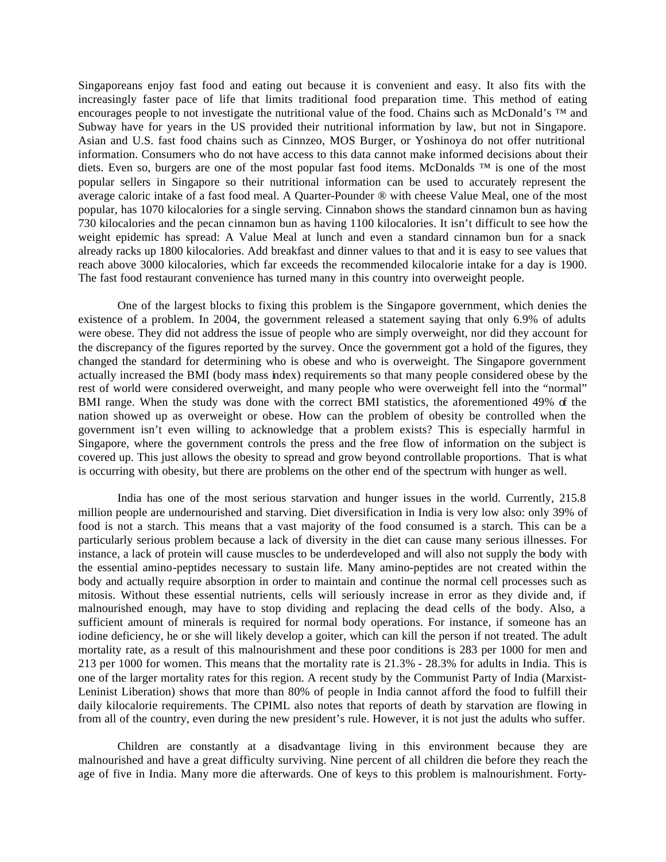Singaporeans enjoy fast food and eating out because it is convenient and easy. It also fits with the increasingly faster pace of life that limits traditional food preparation time. This method of eating encourages people to not investigate the nutritional value of the food. Chains such as McDonald's ™ and Subway have for years in the US provided their nutritional information by law, but not in Singapore. Asian and U.S. fast food chains such as Cinnzeo, MOS Burger, or Yoshinoya do not offer nutritional information. Consumers who do not have access to this data cannot make informed decisions about their diets. Even so, burgers are one of the most popular fast food items. McDonalds ™ is one of the most popular sellers in Singapore so their nutritional information can be used to accurately represent the average caloric intake of a fast food meal. A Quarter-Pounder ® with cheese Value Meal, one of the most popular, has 1070 kilocalories for a single serving. Cinnabon shows the standard cinnamon bun as having 730 kilocalories and the pecan cinnamon bun as having 1100 kilocalories. It isn't difficult to see how the weight epidemic has spread: A Value Meal at lunch and even a standard cinnamon bun for a snack already racks up 1800 kilocalories. Add breakfast and dinner values to that and it is easy to see values that reach above 3000 kilocalories, which far exceeds the recommended kilocalorie intake for a day is 1900. The fast food restaurant convenience has turned many in this country into overweight people.

One of the largest blocks to fixing this problem is the Singapore government, which denies the existence of a problem. In 2004, the government released a statement saying that only 6.9% of adults were obese. They did not address the issue of people who are simply overweight, nor did they account for the discrepancy of the figures reported by the survey. Once the government got a hold of the figures, they changed the standard for determining who is obese and who is overweight. The Singapore government actually increased the BMI (body mass index) requirements so that many people considered obese by the rest of world were considered overweight, and many people who were overweight fell into the "normal" BMI range. When the study was done with the correct BMI statistics, the aforementioned 49% of the nation showed up as overweight or obese. How can the problem of obesity be controlled when the government isn't even willing to acknowledge that a problem exists? This is especially harmful in Singapore, where the government controls the press and the free flow of information on the subject is covered up. This just allows the obesity to spread and grow beyond controllable proportions. That is what is occurring with obesity, but there are problems on the other end of the spectrum with hunger as well.

India has one of the most serious starvation and hunger issues in the world. Currently, 215.8 million people are undernourished and starving. Diet diversification in India is very low also: only 39% of food is not a starch. This means that a vast majority of the food consumed is a starch. This can be a particularly serious problem because a lack of diversity in the diet can cause many serious illnesses. For instance, a lack of protein will cause muscles to be underdeveloped and will also not supply the body with the essential amino-peptides necessary to sustain life. Many amino-peptides are not created within the body and actually require absorption in order to maintain and continue the normal cell processes such as mitosis. Without these essential nutrients, cells will seriously increase in error as they divide and, if malnourished enough, may have to stop dividing and replacing the dead cells of the body. Also, a sufficient amount of minerals is required for normal body operations. For instance, if someone has an iodine deficiency, he or she will likely develop a goiter, which can kill the person if not treated. The adult mortality rate, as a result of this malnourishment and these poor conditions is 283 per 1000 for men and 213 per 1000 for women. This means that the mortality rate is 21.3% - 28.3% for adults in India. This is one of the larger mortality rates for this region. A recent study by the Communist Party of India (Marxist-Leninist Liberation) shows that more than 80% of people in India cannot afford the food to fulfill their daily kilocalorie requirements. The CPIML also notes that reports of death by starvation are flowing in from all of the country, even during the new president's rule. However, it is not just the adults who suffer.

Children are constantly at a disadvantage living in this environment because they are malnourished and have a great difficulty surviving. Nine percent of all children die before they reach the age of five in India. Many more die afterwards. One of keys to this problem is malnourishment. Forty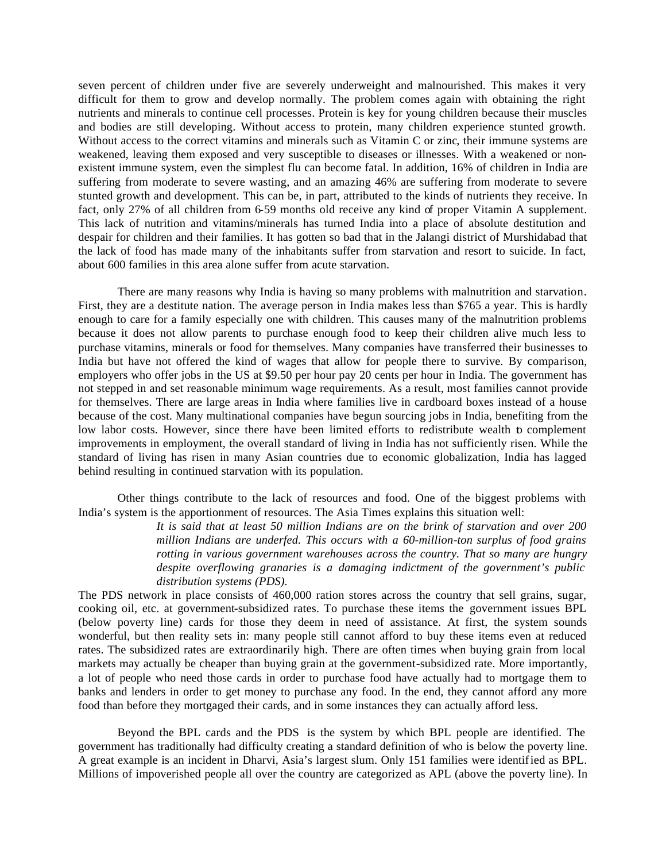seven percent of children under five are severely underweight and malnourished. This makes it very difficult for them to grow and develop normally. The problem comes again with obtaining the right nutrients and minerals to continue cell processes. Protein is key for young children because their muscles and bodies are still developing. Without access to protein, many children experience stunted growth. Without access to the correct vitamins and minerals such as Vitamin C or zinc, their immune systems are weakened, leaving them exposed and very susceptible to diseases or illnesses. With a weakened or nonexistent immune system, even the simplest flu can become fatal. In addition, 16% of children in India are suffering from moderate to severe wasting, and an amazing 46% are suffering from moderate to severe stunted growth and development. This can be, in part, attributed to the kinds of nutrients they receive. In fact, only 27% of all children from 6-59 months old receive any kind of proper Vitamin A supplement. This lack of nutrition and vitamins/minerals has turned India into a place of absolute destitution and despair for children and their families. It has gotten so bad that in the Jalangi district of Murshidabad that the lack of food has made many of the inhabitants suffer from starvation and resort to suicide. In fact, about 600 families in this area alone suffer from acute starvation.

There are many reasons why India is having so many problems with malnutrition and starvation. First, they are a destitute nation. The average person in India makes less than \$765 a year. This is hardly enough to care for a family especially one with children. This causes many of the malnutrition problems because it does not allow parents to purchase enough food to keep their children alive much less to purchase vitamins, minerals or food for themselves. Many companies have transferred their businesses to India but have not offered the kind of wages that allow for people there to survive. By comparison, employers who offer jobs in the US at \$9.50 per hour pay 20 cents per hour in India. The government has not stepped in and set reasonable minimum wage requirements. As a result, most families cannot provide for themselves. There are large areas in India where families live in cardboard boxes instead of a house because of the cost. Many multinational companies have begun sourcing jobs in India, benefiting from the low labor costs. However, since there have been limited efforts to redistribute wealth to complement improvements in employment, the overall standard of living in India has not sufficiently risen. While the standard of living has risen in many Asian countries due to economic globalization, India has lagged behind resulting in continued starvation with its population.

Other things contribute to the lack of resources and food. One of the biggest problems with India's system is the apportionment of resources. The Asia Times explains this situation well:

> *It is said that at least 50 million Indians are on the brink of starvation and over 200 million Indians are underfed. This occurs with a 60-million-ton surplus of food grains rotting in various government warehouses across the country. That so many are hungry despite overflowing granaries is a damaging indictment of the government's public distribution systems (PDS).*

The PDS network in place consists of 460,000 ration stores across the country that sell grains, sugar, cooking oil, etc. at government-subsidized rates. To purchase these items the government issues BPL (below poverty line) cards for those they deem in need of assistance. At first, the system sounds wonderful, but then reality sets in: many people still cannot afford to buy these items even at reduced rates. The subsidized rates are extraordinarily high. There are often times when buying grain from local markets may actually be cheaper than buying grain at the government-subsidized rate. More importantly, a lot of people who need those cards in order to purchase food have actually had to mortgage them to banks and lenders in order to get money to purchase any food. In the end, they cannot afford any more food than before they mortgaged their cards, and in some instances they can actually afford less.

Beyond the BPL cards and the PDS is the system by which BPL people are identified. The government has traditionally had difficulty creating a standard definition of who is below the poverty line. A great example is an incident in Dharvi, Asia's largest slum. Only 151 families were identified as BPL. Millions of impoverished people all over the country are categorized as APL (above the poverty line). In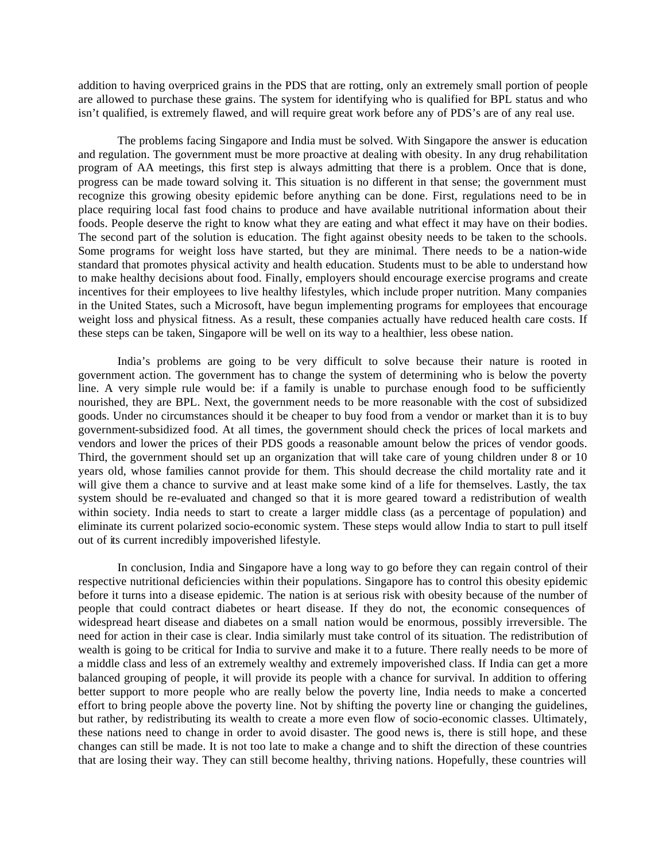addition to having overpriced grains in the PDS that are rotting, only an extremely small portion of people are allowed to purchase these grains. The system for identifying who is qualified for BPL status and who isn't qualified, is extremely flawed, and will require great work before any of PDS's are of any real use.

The problems facing Singapore and India must be solved. With Singapore the answer is education and regulation. The government must be more proactive at dealing with obesity. In any drug rehabilitation program of AA meetings, this first step is always admitting that there is a problem. Once that is done, progress can be made toward solving it. This situation is no different in that sense; the government must recognize this growing obesity epidemic before anything can be done. First, regulations need to be in place requiring local fast food chains to produce and have available nutritional information about their foods. People deserve the right to know what they are eating and what effect it may have on their bodies. The second part of the solution is education. The fight against obesity needs to be taken to the schools. Some programs for weight loss have started, but they are minimal. There needs to be a nation-wide standard that promotes physical activity and health education. Students must to be able to understand how to make healthy decisions about food. Finally, employers should encourage exercise programs and create incentives for their employees to live healthy lifestyles, which include proper nutrition. Many companies in the United States, such a Microsoft, have begun implementing programs for employees that encourage weight loss and physical fitness. As a result, these companies actually have reduced health care costs. If these steps can be taken, Singapore will be well on its way to a healthier, less obese nation.

India's problems are going to be very difficult to solve because their nature is rooted in government action. The government has to change the system of determining who is below the poverty line. A very simple rule would be: if a family is unable to purchase enough food to be sufficiently nourished, they are BPL. Next, the government needs to be more reasonable with the cost of subsidized goods. Under no circumstances should it be cheaper to buy food from a vendor or market than it is to buy government-subsidized food. At all times, the government should check the prices of local markets and vendors and lower the prices of their PDS goods a reasonable amount below the prices of vendor goods. Third, the government should set up an organization that will take care of young children under 8 or 10 years old, whose families cannot provide for them. This should decrease the child mortality rate and it will give them a chance to survive and at least make some kind of a life for themselves. Lastly, the tax system should be re-evaluated and changed so that it is more geared toward a redistribution of wealth within society. India needs to start to create a larger middle class (as a percentage of population) and eliminate its current polarized socio-economic system. These steps would allow India to start to pull itself out of its current incredibly impoverished lifestyle.

In conclusion, India and Singapore have a long way to go before they can regain control of their respective nutritional deficiencies within their populations. Singapore has to control this obesity epidemic before it turns into a disease epidemic. The nation is at serious risk with obesity because of the number of people that could contract diabetes or heart disease. If they do not, the economic consequences of widespread heart disease and diabetes on a small nation would be enormous, possibly irreversible. The need for action in their case is clear. India similarly must take control of its situation. The redistribution of wealth is going to be critical for India to survive and make it to a future. There really needs to be more of a middle class and less of an extremely wealthy and extremely impoverished class. If India can get a more balanced grouping of people, it will provide its people with a chance for survival. In addition to offering better support to more people who are really below the poverty line, India needs to make a concerted effort to bring people above the poverty line. Not by shifting the poverty line or changing the guidelines, but rather, by redistributing its wealth to create a more even flow of socio-economic classes. Ultimately, these nations need to change in order to avoid disaster. The good news is, there is still hope, and these changes can still be made. It is not too late to make a change and to shift the direction of these countries that are losing their way. They can still become healthy, thriving nations. Hopefully, these countries will